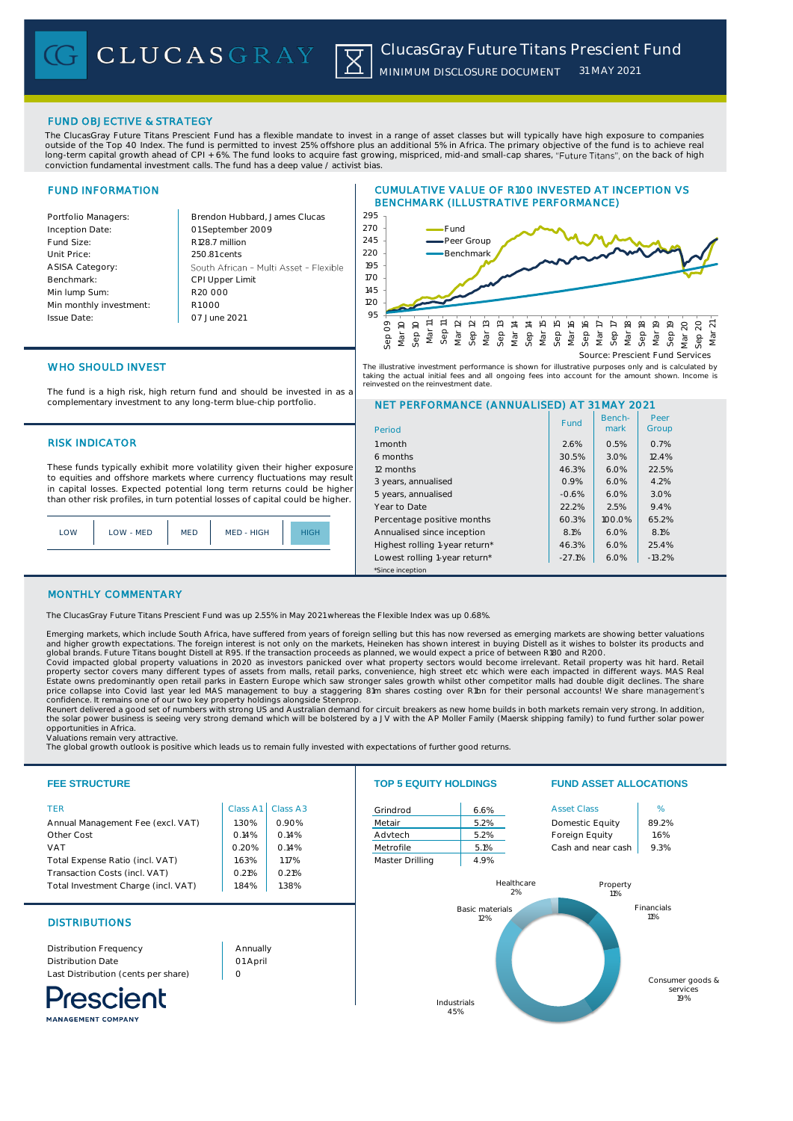## FUND OBJECTIVE & STRATEGY

The ClucasGray Future Titans Prescient Fund has a flexible mandate to invest in a range of asset classes but will typically have high exposure to companies outside of the Top 40 Index. The fund is permitted to invest 25% offshore plus an additional 5% in Africa. The primary objective of the fund is to achieve real long-term capital growth ahead of CPI + 6%. The fund looks to acquire fast growing, mispriced, mid-and small-cap shares, "Future Titans", on the back of high conviction fundamental investment calls. The fund has a deep value / activist bias.

# FUND INFORMATION

Inception Date:

ASISA Category: Benchmark: Min lump Sum:

Issue Date:

Portfolio Managers: Brendon Hubbard, James Clucas 01 September 2009 Fund Size: R128.7 million Unit Price: 250.81 cents South African - Multi Asset - Flexible CPI Upper Limit R20 000 Min monthly investment: R1 000 07 June 2021





Benchmark

Fund | Bench- | Peer<br>| mark | Group

Peer

The illustrative investment performance is shown for illustrative purposes only and is calculated by<br>taking the actual initial fees and all ongoing fees into account for the amount shown. Income is<br>reinvested on the reinve

6 months 30.5% 3.0% 12.4% 12 months 10 months 22.5% and 22.5% and 22.5% and 22.5% and 22.5% and 22.5% and 22.5% and 22.5% and 22.5% and 3 years, annualised 0.9% 6.0% 4.2% 5 years, annualised  $\vert$  -0.6%  $\vert$  6.0%  $\vert$  3.0% Year to Date 22.2% 2.5% 2.5% 2.4% Percentage positive months 60.3% 100.0% 65.2% Annualised since inception 1 8.1% 6.0% 8.1% Highest rolling 1-year return\*  $46.3\%$  6.0% 25.4% Lowest rolling 1-year return\* | -27.1% | 6.0% | -13.2%

# NET PERFORMANCE (ANNUALISED) AT 31 MAY 2021

WHO SHOULD INVEST

The fund is a high risk, high return fund and should be invested in as a complementary investment to any long-term blue-chip portfolio.

## RISK INDICATOR 1 month 1 month 2.6% 0.5% 0.7%

These funds typically exhibit more volatility given their higher exposure to equities and offshore markets where currency fluctuations may result in capital losses. Expected potential long term returns could be higher than other risk profiles, in turn potential losses of capital could be higher.

| LOW | LOW - MED | <b>MED</b> | MED - HIGH | <b>HIGH</b> |
|-----|-----------|------------|------------|-------------|
|     |           |            |            |             |

# MONTHLY COMMENTARY

The ClucasGray Future Titans Prescient Fund was up 2.55% in May 2021 whereas the Flexible Index was up 0.68%.

Emerging markets, which include South Africa, have suffered from years of foreign selling but this has now reversed as emerging markets are showing better valuations and higher growth expectations. The foreign interest is not only on the markets, Heineken has shown interest in buying Distell as it wishes to bolster its products and<br>global brands. Future Titans bought Distell at R95. If

\*Since inception

Period

Covid impacted global property valuations in 2020 as investors panicked over what property sectors would become irrelevant. Retail property was hit hard. Retail explore included in a stream many different types of assets f

Valuations remain very attractive.

The global growth outlook is positive which leads us to remain fully invested with expectations of further good returns.